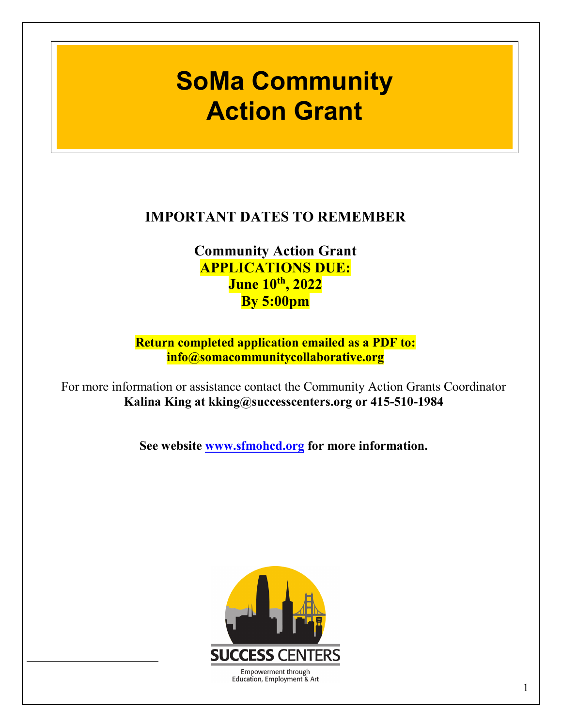# **2022 Action Grant SoMa Community**

## **IMPORTANT DATES TO REMEMBER**

**Community Action Grant APPLICATIONS DUE: June 10th, 2022 By 5:00pm**

**Return completed application emailed as a PDF to: info@somacommunitycollaborative.org**

For more information or assistance contact the Community Action Grants Coordinator **Kalina King at kking@successcenters.org or 415-510-1984**

**See website [www.sfmohcd.org](http://www.sfmohcd.org/) for more information.**

<span id="page-0-0"></span>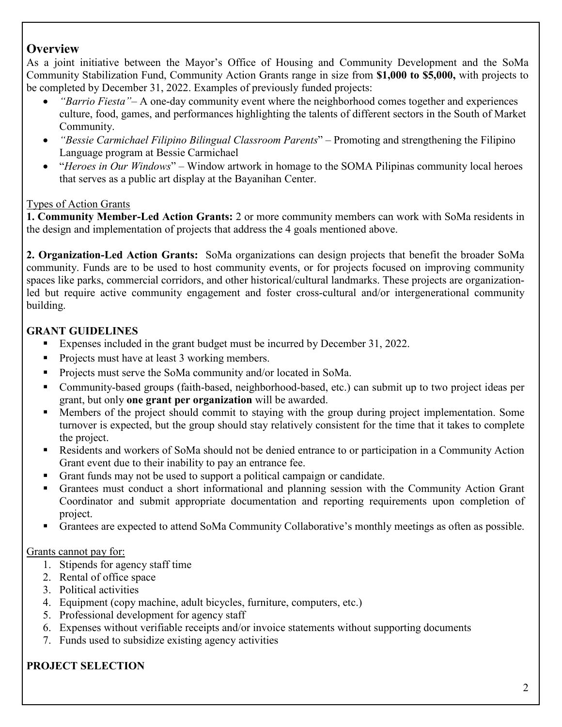## **Overview**

As a joint initiative between the Mayor's Office of Housing and Community Development and the SoMa Community Stabilization Fund, Community Action Grants range in size from **\$1,000 to \$5,000,** with projects to be completed by December 31, 2022. Examples of previously funded projects:

- *"Barrio Fiesta"–* A one-day community event where the neighborhood comes together and experiences culture, food, games, and performances highlighting the talents of different sectors in the South of Market Community.
- *"Bessie Carmichael Filipino Bilingual Classroom Parents*" Promoting and strengthening the Filipino Language program at Bessie Carmichael
- "*Heroes in Our Windows*" Window artwork in homage to the SOMA Pilipinas community local heroes that serves as a public art display at the Bayanihan Center.

#### Types of Action Grants

**1. Community Member-Led Action Grants:** 2 or more community members can work with SoMa residents in the design and implementation of projects that address the 4 goals mentioned above.

**2. Organization-Led Action Grants:** SoMa organizations can design projects that benefit the broader SoMa community. Funds are to be used to host community events, or for projects focused on improving community spaces like parks, commercial corridors, and other historical/cultural landmarks. These projects are organizationled but require active community engagement and foster cross-cultural and/or intergenerational community building.

## **GRANT GUIDELINES**

- Expenses included in the grant budget must be incurred by December 31, 2022.
- **Projects must have at least 3 working members.**
- **Projects must serve the SoMa community and/or located in SoMa.**
- Community-based groups (faith-based, neighborhood-based, etc.) can submit up to two project ideas per grant, but only **one grant per organization** will be awarded.
- Members of the project should commit to staying with the group during project implementation. Some turnover is expected, but the group should stay relatively consistent for the time that it takes to complete the project.
- Residents and workers of SoMa should not be denied entrance to or participation in a Community Action Grant event due to their inability to pay an entrance fee.
- Grant funds may not be used to support a political campaign or candidate.
- Grantees must conduct a short informational and planning session with the Community Action Grant Coordinator and submit appropriate documentation and reporting requirements upon completion of project.
- Grantees are expected to attend SoMa Community Collaborative's monthly meetings as often as possible.

#### Grants cannot pay for:

- 1. Stipends for agency staff time
- 2. Rental of office space
- 3. Political activities
- 4. Equipment (copy machine, adult bicycles, furniture, computers, etc.)
- 5. Professional development for agency staff
- 6. Expenses without verifiable receipts and/or invoice statements without supporting documents
- 7. Funds used to subsidize existing agency activities

## **PROJECT SELECTION**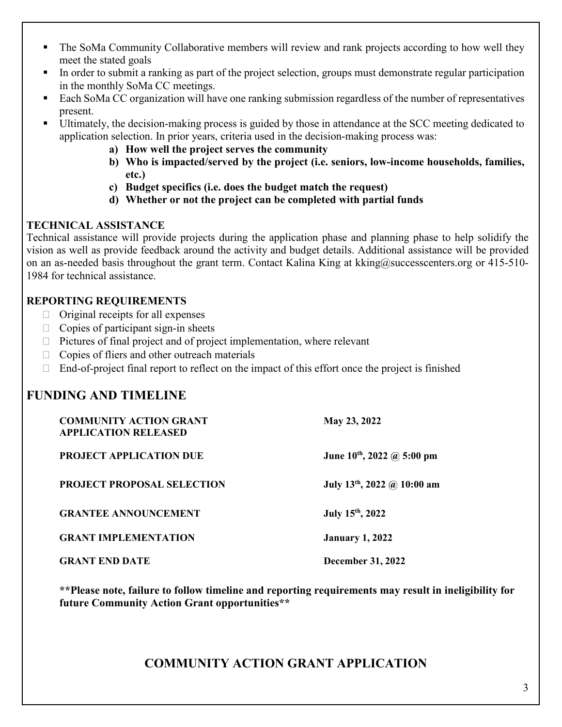- The SoMa Community Collaborative members will review and rank projects according to how well they meet the stated goals
- In order to submit a ranking as part of the project selection, groups must demonstrate regular participation in the monthly SoMa CC meetings.
- Each SoMa CC organization will have one ranking submission regardless of the number of representatives present.
- Ultimately, the decision-making process is guided by those in attendance at the SCC meeting dedicated to application selection. In prior years, criteria used in the decision-making process was:
	- **a) How well the project serves the community**
	- **b) Who is impacted/served by the project (i.e. seniors, low-income households, families, etc.)**
	- **c) Budget specifics (i.e. does the budget match the request)**
	- **d) Whether or not the project can be completed with partial funds**

#### **TECHNICAL ASSISTANCE**

Technical assistance will provide projects during the application phase and planning phase to help solidify the vision as well as provide feedback around the activity and budget details. Additional assistance will be provided on an as-needed basis throughout the grant term. Contact Kalina King at kking@successcenters.org or 415-510-1984 for technical assistance.

#### **REPORTING REQUIREMENTS**

- $\Box$  Original receipts for all expenses
- $\Box$  Copies of participant sign-in sheets
- $\Box$  Pictures of final project and of project implementation, where relevant
- $\Box$  Copies of fliers and other outreach materials
- $\Box$  End-of-project final report to reflect on the impact of this effort once the project is finished

## **FUNDING AND TIMELINE**

| <b>COMMUNITY ACTION GRANT</b><br><b>APPLICATION RELEASED</b> | May 23, 2022                     |
|--------------------------------------------------------------|----------------------------------|
| <b>PROJECT APPLICATION DUE</b>                               | June $10^{th}$ , 2022 @ 5:00 pm  |
| <b>PROJECT PROPOSAL SELECTION</b>                            | July $13^{th}$ , 2022 @ 10:00 am |
| <b>GRANTEE ANNOUNCEMENT</b>                                  | July 15th, 2022                  |
| <b>GRANT IMPLEMENTATION</b>                                  | <b>January 1, 2022</b>           |
| <b>GRANT END DATE</b>                                        | <b>December 31, 2022</b>         |

**\*\*Please note, failure to follow timeline and reporting requirements may result in ineligibility for future Community Action Grant opportunities\*\***

## **COMMUNITY ACTION GRANT APPLICATION**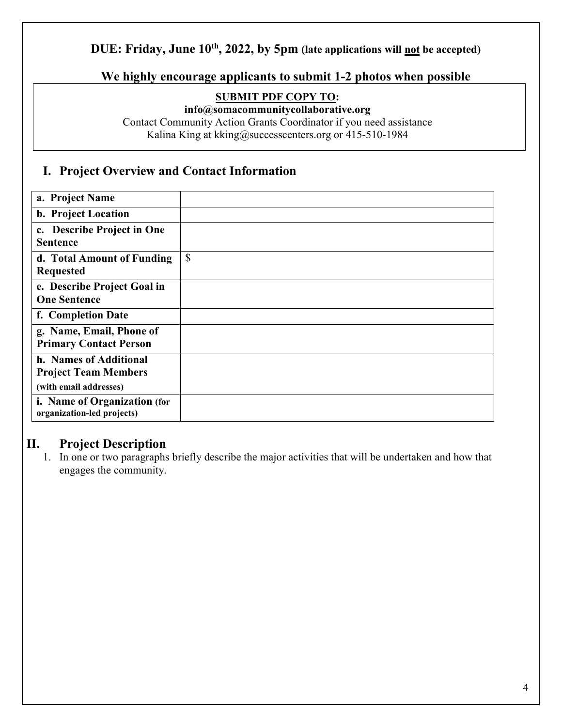## **DUE: Friday, June 10<sup>th</sup>, 2022, by 5pm (late applications will not be accepted)**

#### **We highly encourage applicants to submit 1-2 photos when possible**

#### **SUBMIT PDF COPY TO:**

**info@somacommunitycollaborative.org** 

Contact Community Action Grants Coordinator if you need assistance Kalina King at kking@successcenters.org or 415-510-1984

#### **I. Project Overview and Contact Information**

| a. Project Name                                                                 |               |
|---------------------------------------------------------------------------------|---------------|
| b. Project Location                                                             |               |
| c. Describe Project in One<br><b>Sentence</b>                                   |               |
| d. Total Amount of Funding<br><b>Requested</b>                                  | $\mathcal{S}$ |
| e. Describe Project Goal in<br><b>One Sentence</b>                              |               |
| f. Completion Date                                                              |               |
| g. Name, Email, Phone of<br><b>Primary Contact Person</b>                       |               |
| h. Names of Additional<br><b>Project Team Members</b><br>(with email addresses) |               |
| i. Name of Organization (for<br>organization-led projects)                      |               |

#### **II. Project Description**

1. In one or two paragraphs briefly describe the major activities that will be undertaken and how that engages the community.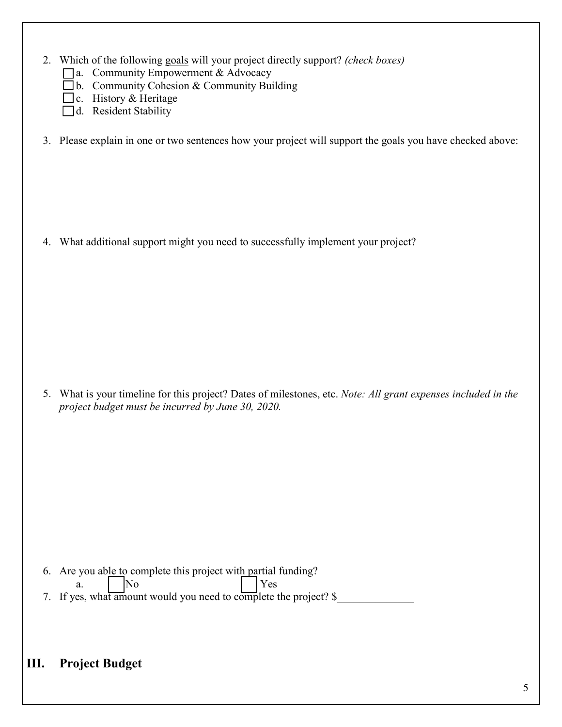- 2. Which of the following goals will your project directly support? *(check boxes)*
	- a. Community Empowerment & Advocacy
	- $\Box$  b. Community Cohesion & Community Building
	- $\Box$  c. History & Heritage
	- d. Resident Stability
- 3. Please explain in one or two sentences how your project will support the goals you have checked above:

4. What additional support might you need to successfully implement your project?

5. What is your timeline for this project? Dates of milestones, etc. *Note: All grant expenses included in the project budget must be incurred by June 30, 2020.*

- 6. Are you able to complete this project with partial funding?
	- a. No Yes
- 7. If yes, what amount would you need to complete the project? \$

## **III. Project Budget**